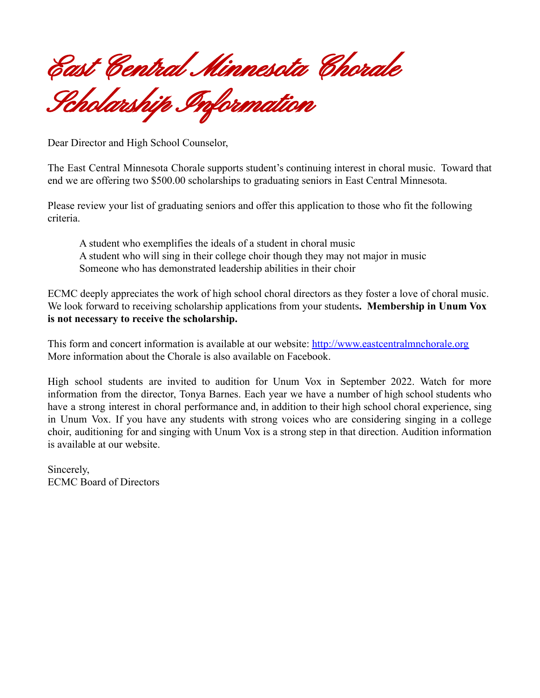East Central Minnesota Chorale

Scholarship Information

Dear Director and High School Counselor,

The East Central Minnesota Chorale supports student's continuing interest in choral music. Toward that end we are offering two \$500.00 scholarships to graduating seniors in East Central Minnesota.

Please review your list of graduating seniors and offer this application to those who fit the following criteria.

A student who exemplifies the ideals of a student in choral music A student who will sing in their college choir though they may not major in music Someone who has demonstrated leadership abilities in their choir

ECMC deeply appreciates the work of high school choral directors as they foster a love of choral music. We look forward to receiving scholarship applications from your students**. Membership in Unum Vox is not necessary to receive the scholarship.**

This form and concert information is available at our website: <http://www.eastcentralmnchorale.org> More information about the Chorale is also available on Facebook.

High school students are invited to audition for Unum Vox in September 2022. Watch for more information from the director, Tonya Barnes. Each year we have a number of high school students who have a strong interest in choral performance and, in addition to their high school choral experience, sing in Unum Vox. If you have any students with strong voices who are considering singing in a college choir, auditioning for and singing with Unum Vox is a strong step in that direction. Audition information is available at our website.

Sincerely, ECMC Board of Directors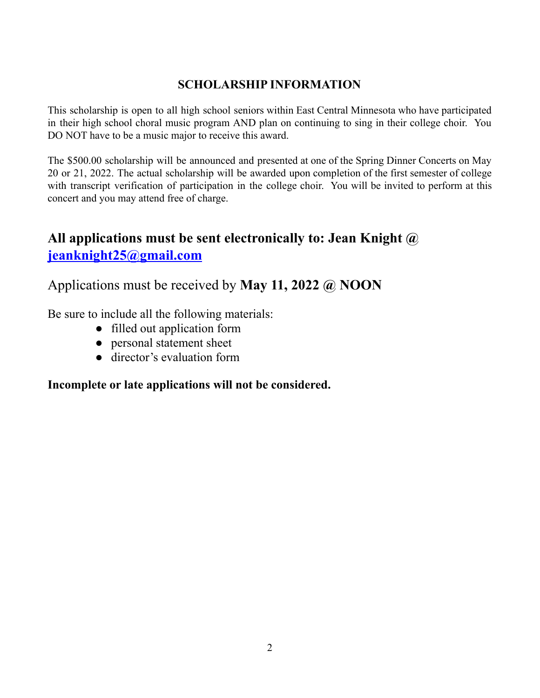## **SCHOLARSHIP INFORMATION**

This scholarship is open to all high school seniors within East Central Minnesota who have participated in their high school choral music program AND plan on continuing to sing in their college choir. You DO NOT have to be a music major to receive this award.

The \$500.00 scholarship will be announced and presented at one of the Spring Dinner Concerts on May 20 or 21, 2022. The actual scholarship will be awarded upon completion of the first semester of college with transcript verification of participation in the college choir. You will be invited to perform at this concert and you may attend free of charge.

## **All applications must be sent electronically to: Jean Knight @ [jeanknight25@gmail.com](mailto:jean.knight25@gmail.com)**

Applications must be received by **May 11, 2022 @ NOON**

Be sure to include all the following materials:

- filled out application form
- personal statement sheet
- director's evaluation form

**Incomplete or late applications will not be considered.**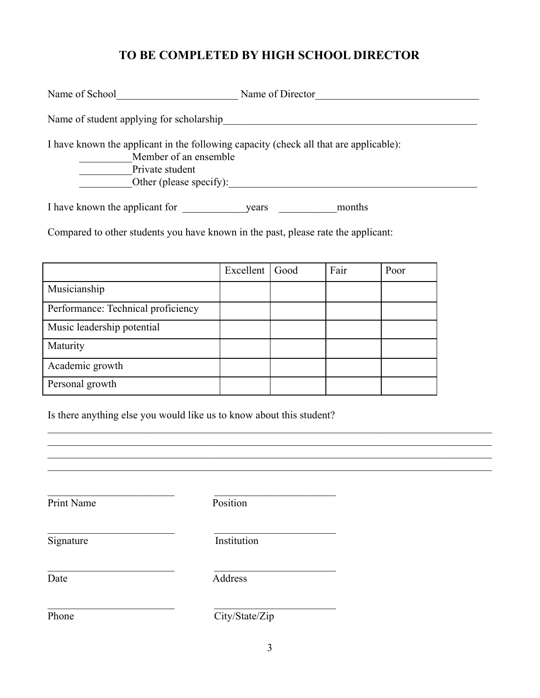## **TO BE COMPLETED BY HIGH SCHOOL DIRECTOR**

| Name of School                                                                                                                                               | Name of Director |
|--------------------------------------------------------------------------------------------------------------------------------------------------------------|------------------|
| Name of student applying for scholarship                                                                                                                     |                  |
| I have known the applicant in the following capacity (check all that are applicable):<br>Member of an ensemble<br>Private student<br>Other (please specify): |                  |
| I have known the applicant for                                                                                                                               | months<br>vears  |

Compared to other students you have known in the past, please rate the applicant:

|                                    | Excellent   Good | Fair | Poor |
|------------------------------------|------------------|------|------|
| Musicianship                       |                  |      |      |
| Performance: Technical proficiency |                  |      |      |
| Music leadership potential         |                  |      |      |
| Maturity                           |                  |      |      |
| Academic growth                    |                  |      |      |
| Personal growth                    |                  |      |      |

Is there anything else you would like us to know about this student?

 $\mathcal{L}_\text{max}$  and the contract of the contract of the contract of the contract of the contract of the contract of the contract of the contract of the contract of the contract of the contract of the contract of the contrac

 $\mathcal{L}_\text{max}$  and the contract of the contract of the contract of the contract of the contract of the contract of the contract of the contract of the contract of the contract of the contract of the contract of the contrac

 $\mathcal{L}_\text{max}$  and the contract of the contract of the contract of the contract of the contract of the contract of the contract of the contract of the contract of the contract of the contract of the contract of the contrac

Print Name Position

 $\mathcal{L}_\text{max}$  and the contract of the contract of the contract of the contract of the contract of the contract of the contract of the contract of the contract of the contract of the contract of the contract of the contrac Signature Institution

Date Address

Phone City/State/Zip

 $\mathcal{L}_\text{max} = \frac{1}{2} \sum_{i=1}^n \mathcal{L}_\text{max}(\mathbf{x}_i - \mathbf{y}_i)$  $\mathcal{L}_\text{max} = \frac{1}{2} \sum_{i=1}^n \mathcal{L}_\text{max}(\mathbf{x}_i - \mathbf{y}_i)$  $\mathcal{L}_\text{max} = \frac{1}{2} \sum_{i=1}^n \mathcal{L}_\text{max}(\mathbf{x}_i - \mathbf{y}_i)$  $\mathcal{L}_\text{max} = \frac{1}{2} \sum_{i=1}^n \mathcal{L}_\text{max}(\mathbf{x}_i - \mathbf{y}_i)$